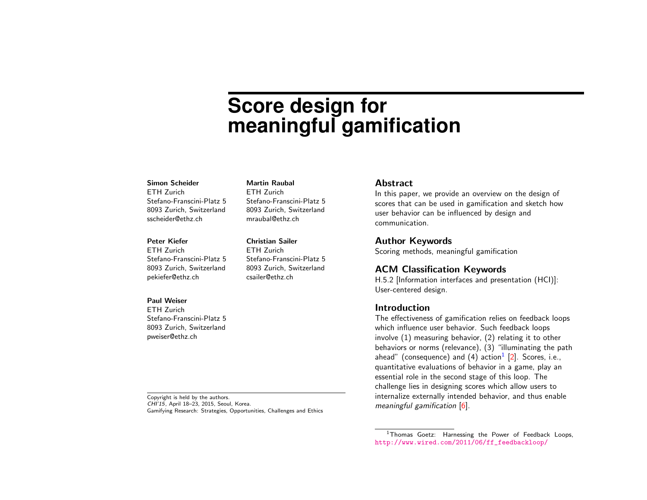# **Score design for meaningful gamification**

#### Simon Scheider

ETH Zurich Stefano-Franscini-Platz 5 8093 Zurich, Switzerland sscheider@ethz.ch

#### Peter Kiefer

ETH Zurich Stefano-Franscini-Platz 5 8093 Zurich, Switzerland pekiefer@ethz.ch

## Paul Weiser

ETH Zurich Stefano-Franscini-Platz 5 8093 Zurich, Switzerland pweiser@ethz.ch

Copyright is held by the authors. CHI'15, April 18–23, 2015, Seoul, Korea. Gamifying Research: Strategies, Opportunities, Challenges and Ethics

## Martin Raubal

ETH Zurich Stefano-Franscini-Platz 5 8093 Zurich, Switzerland mraubal@ethz.ch

Christian Sailer

ETH Zurich Stefano-Franscini-Platz 5 8093 Zurich, Switzerland csailer@ethz.ch

#### Abstract

In this paper, we provide an overview on the design of scores that can be used in gamification and sketch how user behavior can be influenced by design and communication.

## Author Keywords

Scoring methods, meaningful gamification

## ACM Classification Keywords

H.5.2 [Information interfaces and presentation (HCI)]: User-centered design.

## **Introduction**

The effectiveness of gamification relies on feedback loops which influence user behavior. Such feedback loops involve (1) measuring behavior, (2) relating it to other behaviors or norms (relevance), (3) "illuminating the path ahead" (consequence) and  $(4)$  action $^1$  $^1$  [\[2\]](#page-3-0). Scores, i.e., quantitative evaluations of behavior in a game, play an essential role in the second stage of this loop. The challenge lies in designing scores which allow users to internalize externally intended behavior, and thus enable meaningful gamification [\[6\]](#page-3-1).

<span id="page-0-0"></span><sup>&</sup>lt;sup>1</sup>Thomas Goetz: Harnessing the Power of Feedback Loops, [http://www.wired.com/2011/06/ff\\_feedbackloop/](http://www.wired.com/2011/06/ff_feedbackloop/)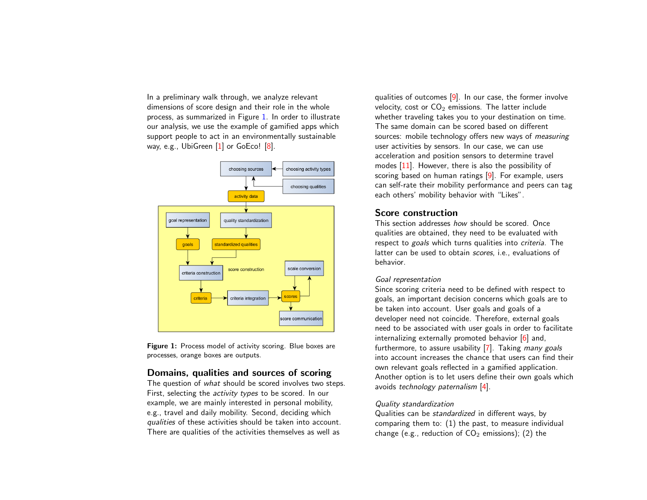In a preliminary walk through, we analyze relevant dimensions of score design and their role in the whole process, as summarized in Figure [1.](#page-1-0) In order to illustrate our analysis, we use the example of gamified apps which support people to act in an environmentally sustainable way, e.g., UbiGreen [\[1\]](#page-3-2) or GoEco! [\[8\]](#page-3-3).



<span id="page-1-0"></span>Figure 1: Process model of activity scoring. Blue boxes are processes, orange boxes are outputs.

## Domains, qualities and sources of scoring

The question of what should be scored involves two steps. First, selecting the *activity types* to be scored. In our example, we are mainly interested in personal mobility, e.g., travel and daily mobility. Second, deciding which qualities of these activities should be taken into account. There are qualities of the activities themselves as well as

qualities of outcomes [\[9\]](#page-3-4). In our case, the former involve velocity, cost or  $CO<sub>2</sub>$  emissions. The latter include whether traveling takes you to your destination on time. The same domain can be scored based on different sources: mobile technology offers new ways of measuring user activities by sensors. In our case, we can use acceleration and position sensors to determine travel modes [\[11\]](#page-3-5). However, there is also the possibility of scoring based on human ratings [\[9\]](#page-3-4). For example, users can self-rate their mobility performance and peers can tag each others' mobility behavior with "Likes".

## Score construction

This section addresses how should be scored. Once qualities are obtained, they need to be evaluated with respect to goals which turns qualities into criteria. The latter can be used to obtain *scores*, i.e., evaluations of behavior.

#### Goal representation

Since scoring criteria need to be defined with respect to goals, an important decision concerns which goals are to be taken into account. User goals and goals of a developer need not coincide. Therefore, external goals need to be associated with user goals in order to facilitate internalizing externally promoted behavior [\[6\]](#page-3-1) and, furthermore, to assure usability [\[7\]](#page-3-6). Taking many goals into account increases the chance that users can find their own relevant goals reflected in a gamified application. Another option is to let users define their own goals which avoids technology paternalism [\[4\]](#page-3-7).

#### Quality standardization

Qualities can be standardized in different ways, by comparing them to: (1) the past, to measure individual change (e.g., reduction of  $CO<sub>2</sub>$  emissions); (2) the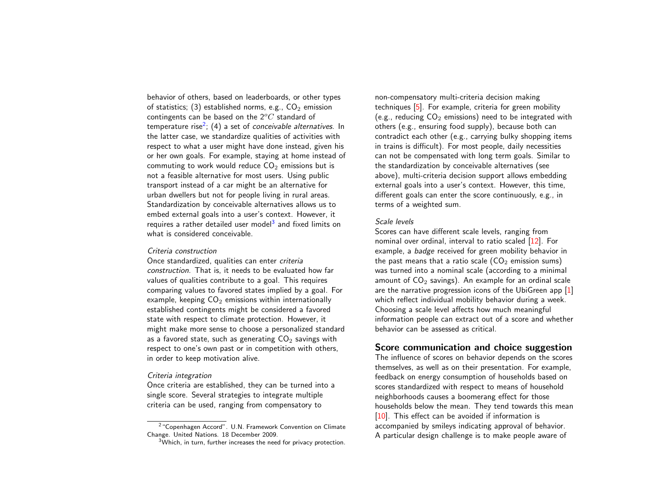behavior of others, based on leaderboards, or other types of statistics; (3) established norms, e.g.,  $CO<sub>2</sub>$  emission contingents can be based on the  $2^oC$  standard of temperature rise<sup>[2](#page-2-0)</sup>; (4) a set of *conceivable alternatives*. In the latter case, we standardize qualities of activities with respect to what a user might have done instead, given his or her own goals. For example, staying at home instead of commuting to work would reduce  $CO<sub>2</sub>$  emissions but is not a feasible alternative for most users. Using public transport instead of a car might be an alternative for urban dwellers but not for people living in rural areas. Standardization by conceivable alternatives allows us to embed external goals into a user's context. However, it requires a rather detailed user model<sup>[3](#page-2-1)</sup> and fixed limits on what is considered conceivable.

#### Criteria construction

Once standardized, qualities can enter criteria construction. That is, it needs to be evaluated how far values of qualities contribute to a goal. This requires comparing values to favored states implied by a goal. For example, keeping  $CO<sub>2</sub>$  emissions within internationally established contingents might be considered a favored state with respect to climate protection. However, it might make more sense to choose a personalized standard as a favored state, such as generating  $CO<sub>2</sub>$  savings with respect to one's own past or in competition with others, in order to keep motivation alive.

#### Criteria integration

Once criteria are established, they can be turned into a single score. Several strategies to integrate multiple criteria can be used, ranging from compensatory to

non-compensatory multi-criteria decision making techniques [\[5\]](#page-3-8). For example, criteria for green mobility (e.g., reducing  $CO<sub>2</sub>$  emissions) need to be integrated with others (e.g., ensuring food supply), because both can contradict each other (e.g., carrying bulky shopping items in trains is difficult). For most people, daily necessities can not be compensated with long term goals. Similar to the standardization by conceivable alternatives (see above), multi-criteria decision support allows embedding external goals into a user's context. However, this time, different goals can enter the score continuously, e.g., in terms of a weighted sum.

#### Scale levels

Scores can have different scale levels, ranging from nominal over ordinal, interval to ratio scaled [\[12\]](#page-3-9). For example, a badge received for green mobility behavior in the past means that a ratio scale  $(CO<sub>2</sub>$  emission sums) was turned into a nominal scale (according to a minimal amount of  $CO<sub>2</sub>$  savings). An example for an ordinal scale are the narrative progression icons of the UbiGreen app [\[1\]](#page-3-2) which reflect individual mobility behavior during a week. Choosing a scale level affects how much meaningful information people can extract out of a score and whether behavior can be assessed as critical.

## Score communication and choice suggestion

The influence of scores on behavior depends on the scores themselves, as well as on their presentation. For example, feedback on energy consumption of households based on scores standardized with respect to means of household neighborhoods causes a boomerang effect for those households below the mean. They tend towards this mean [\[10\]](#page-3-10). This effect can be avoided if information is accompanied by smileys indicating approval of behavior. A particular design challenge is to make people aware of

<span id="page-2-0"></span><sup>2</sup>"Copenhagen Accord". U.N. Framework Convention on Climate Change. United Nations. 18 December 2009.

<span id="page-2-1"></span><sup>3</sup>Which, in turn, further increases the need for privacy protection.